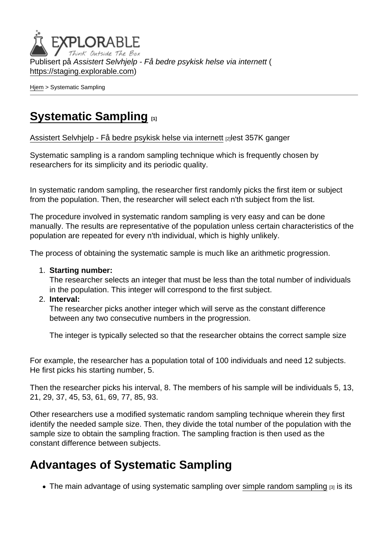Publisert på Assistert Selvhjelp - Få bedre psykisk helse via internett ( <https://staging.explorable.com>)

[Hjem](https://staging.explorable.com/) > Systematic Sampling

# [Systematic Sampling](https://staging.explorable.com/node/523) [1]

[Assistert Selvhjelp - Få bedre psykisk helse via internett](https://staging.explorable.com/en) [2]lest 357K ganger

Systematic sampling is a random sampling technique which is frequently chosen by researchers for its simplicity and its periodic quality.

In systematic random sampling, the researcher first randomly picks the first item or subject from the population. Then, the researcher will select each n'th subject from the list.

The procedure involved in systematic random sampling is very easy and can be done manually. The results are representative of the population unless certain characteristics of the population are repeated for every n'th individual, which is highly unlikely.

The process of obtaining the systematic sample is much like an arithmetic progression.

1. Starting number:

The researcher selects an integer that must be less than the total number of individuals in the population. This integer will correspond to the first subject.

2. Interval:

The researcher picks another integer which will serve as the constant difference between any two consecutive numbers in the progression.

The integer is typically selected so that the researcher obtains the correct sample size

For example, the researcher has a population total of 100 individuals and need 12 subjects. He first picks his starting number, 5.

Then the researcher picks his interval, 8. The members of his sample will be individuals 5, 13, 21, 29, 37, 45, 53, 61, 69, 77, 85, 93.

Other researchers use a modified systematic random sampling technique wherein they first identify the needed sample size. Then, they divide the total number of the population with the sample size to obtain the sampling fraction. The sampling fraction is then used as the constant difference between subjects.

# Advantages of Systematic Sampling

 $\bullet$  The main advantage of using systematic sampling over [simple random sampling](https://staging.explorable.com/simple-random-sampling)  $_{[3]}$  is its